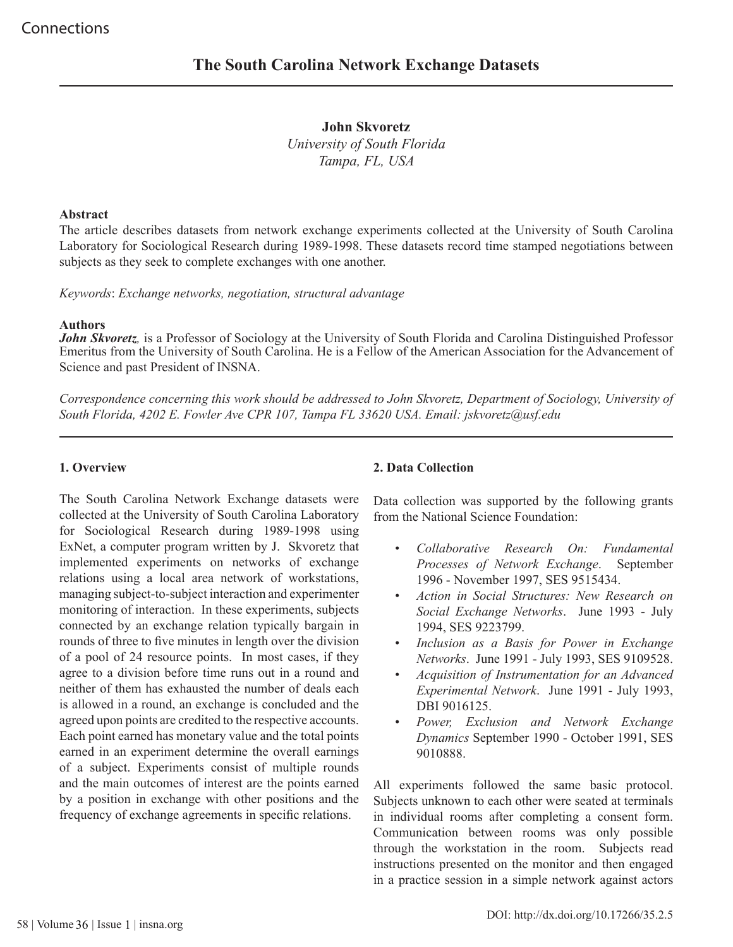**John Skvoretz** *University of South Florida Tampa, FL, USA*

#### **Abstract**

The article describes datasets from network exchange experiments collected at the University of South Carolina Laboratory for Sociological Research during 1989-1998. These datasets record time stamped negotiations between subjects as they seek to complete exchanges with one another.

*Keywords*: *Exchange networks, negotiation, structural advantage*

#### **Authors**

*John Skvoretz,* is a Professor of Sociology at the University of South Florida and Carolina Distinguished Professor Emeritus from the University of South Carolina. He is a Fellow of the American Association for the Advancement of Science and past President of INSNA.

*Correspondence concerning this work should be addressed to John Skvoretz, Department of Sociology, University of South Florida, 4202 E. Fowler Ave CPR 107, Tampa FL 33620 USA. Email: jskvoretz@usf.edu*

### **1. Overview**

The South Carolina Network Exchange datasets were collected at the University of South Carolina Laboratory for Sociological Research during 1989-1998 using ExNet, a computer program written by J. Skvoretz that implemented experiments on networks of exchange relations using a local area network of workstations, managing subject-to-subject interaction and experimenter monitoring of interaction. In these experiments, subjects connected by an exchange relation typically bargain in rounds of three to five minutes in length over the division of a pool of 24 resource points. In most cases, if they agree to a division before time runs out in a round and neither of them has exhausted the number of deals each is allowed in a round, an exchange is concluded and the agreed upon points are credited to the respective accounts. Each point earned has monetary value and the total points earned in an experiment determine the overall earnings of a subject. Experiments consist of multiple rounds and the main outcomes of interest are the points earned by a position in exchange with other positions and the frequency of exchange agreements in specific relations.

## **2. Data Collection**

Data collection was supported by the following grants from the National Science Foundation:

- *Collaborative Research On: Fundamental Processes of Network Exchange*. September 1996 - November 1997, SES 9515434.
- *Action in Social Structures: New Research on Social Exchange Networks*. June 1993 - July 1994, SES 9223799.
- *Inclusion as a Basis for Power in Exchange Networks*. June 1991 - July 1993, SES 9109528.
- *Acquisition of Instrumentation for an Advanced Experimental Network*. June 1991 - July 1993, DBI 9016125.
- *Power, Exclusion and Network Exchange Dynamics* September 1990 - October 1991, SES 9010888.

All experiments followed the same basic protocol. Subjects unknown to each other were seated at terminals in individual rooms after completing a consent form. Communication between rooms was only possible through the workstation in the room. Subjects read instructions presented on the monitor and then engaged in a practice session in a simple network against actors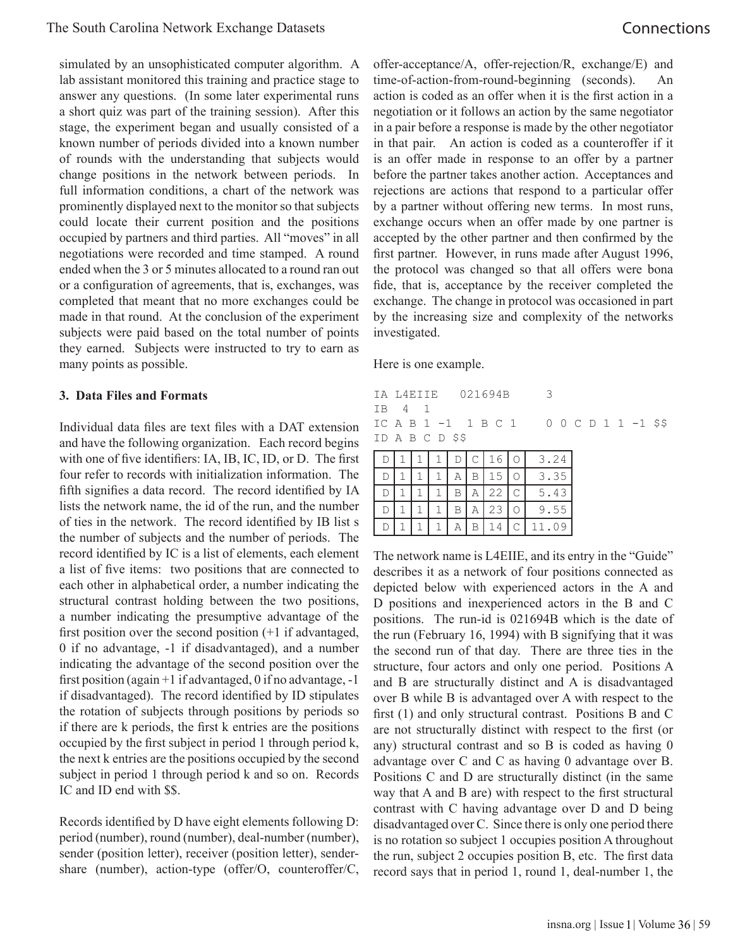simulated by an unsophisticated computer algorithm. A lab assistant monitored this training and practice stage to answer any questions. (In some later experimental runs a short quiz was part of the training session). After this stage, the experiment began and usually consisted of a known number of periods divided into a known number of rounds with the understanding that subjects would change positions in the network between periods. In full information conditions, a chart of the network was prominently displayed next to the monitor so that subjects could locate their current position and the positions occupied by partners and third parties. All "moves" in all negotiations were recorded and time stamped. A round ended when the 3 or 5 minutes allocated to a round ran out or a configuration of agreements, that is, exchanges, was completed that meant that no more exchanges could be made in that round. At the conclusion of the experiment subjects were paid based on the total number of points they earned. Subjects were instructed to try to earn as many points as possible.

### **3. Data Files and Formats**

Individual data files are text files with a DAT extension and have the following organization. Each record begins with one of five identifiers: IA, IB, IC, ID, or D. The first four refer to records with initialization information. The fifth signifies a data record. The record identified by IA lists the network name, the id of the run, and the number of ties in the network. The record identified by IB list s the number of subjects and the number of periods. The record identified by IC is a list of elements, each element a list of five items: two positions that are connected to each other in alphabetical order, a number indicating the structural contrast holding between the two positions, a number indicating the presumptive advantage of the first position over the second position (+1 if advantaged, 0 if no advantage, -1 if disadvantaged), and a number indicating the advantage of the second position over the first position (again +1 if advantaged, 0 if no advantage, -1 if disadvantaged). The record identified by ID stipulates the rotation of subjects through positions by periods so if there are k periods, the first k entries are the positions occupied by the first subject in period 1 through period k, the next k entries are the positions occupied by the second subject in period 1 through period k and so on. Records IC and ID end with \$\$.

Records identified by D have eight elements following D: period (number), round (number), deal-number (number), sender (position letter), receiver (position letter), sendershare (number), action-type (offer/O, counteroffer/C, offer-acceptance/A, offer-rejection/R, exchange/E) and time-of-action-from-round-beginning (seconds). An action is coded as an offer when it is the first action in a negotiation or it follows an action by the same negotiator in a pair before a response is made by the other negotiator in that pair. An action is coded as a counteroffer if it is an offer made in response to an offer by a partner before the partner takes another action. Acceptances and rejections are actions that respond to a particular offer by a partner without offering new terms. In most runs, exchange occurs when an offer made by one partner is accepted by the other partner and then confirmed by the first partner. However, in runs made after August 1996, the protocol was changed so that all offers were bona fide, that is, acceptance by the receiver completed the exchange. The change in protocol was occasioned in part by the increasing size and complexity of the networks investigated.

Here is one example.

|        | IA L4EIIE 021694B 3 |  |  |                 |  |  |  |  |  |                                       |  |
|--------|---------------------|--|--|-----------------|--|--|--|--|--|---------------------------------------|--|
| TB 4 1 |                     |  |  |                 |  |  |  |  |  |                                       |  |
|        |                     |  |  |                 |  |  |  |  |  | ICAB 1 -1 1 B C 1 0 0 C D 1 1 -1 \$\$ |  |
|        |                     |  |  | ID A B C D \$\$ |  |  |  |  |  |                                       |  |

|           |  |  |    |   | 3.24      |
|-----------|--|--|----|---|-----------|
|           |  |  |    |   | .35<br>3  |
|           |  |  | 22 | C | 5.43      |
| $\vert$ ) |  |  | 23 |   | .55       |
|           |  |  |    |   | 11<br>.∪9 |

The network name is L4EIIE, and its entry in the "Guide" describes it as a network of four positions connected as depicted below with experienced actors in the A and D positions and inexperienced actors in the B and C positions. The run-id is 021694B which is the date of the run (February 16, 1994) with B signifying that it was the second run of that day. There are three ties in the structure, four actors and only one period. Positions A and B are structurally distinct and A is disadvantaged over B while B is advantaged over A with respect to the first (1) and only structural contrast. Positions B and C are not structurally distinct with respect to the first (or any) structural contrast and so B is coded as having 0 advantage over C and C as having 0 advantage over B. Positions C and D are structurally distinct (in the same way that A and B are) with respect to the first structural contrast with C having advantage over D and D being disadvantaged over C. Since there is only one period there is no rotation so subject 1 occupies position A throughout the run, subject 2 occupies position B, etc. The first data record says that in period 1, round 1, deal-number 1, the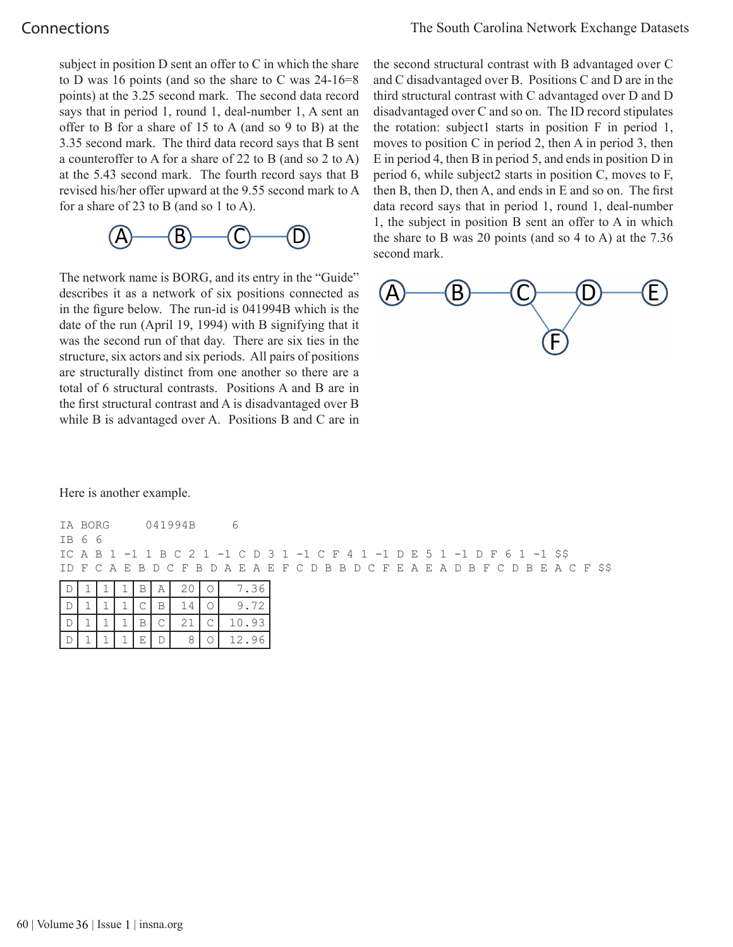# **Connections**

subject in position D sent an offer to C in which the share to D was 16 points (and so the share to C was 24-16=8 points) at the 3.25 second mark. The second data record says that in period 1, round 1, deal-number 1, A sent an offer to B for a share of 15 to A (and so 9 to B) at the 3.35 second mark. The third data record says that B sent a counteroffer to A for a share of 22 to B (and so 2 to A) at the 5.43 second mark. The fourth record says that B revised his/her offer upward at the 9.55 second mark to A for a share of 23 to B (and so 1 to A).



The network name is BORG, and its entry in the "Guide" describes it as a network of six positions connected as in the figure below. The run-id is 041994B which is the date of the run (April 19, 1994) with B signifying that it was the second run of that day. There are six ties in the structure, six actors and six periods. All pairs of positions are structurally distinct from one another so there are a total of 6 structural contrasts. Positions A and B are in the first structural contrast and A is disadvantaged over B while B is advantaged over A. Positions B and C are in

the second structural contrast with B advantaged over C and C disadvantaged over B. Positions C and D are in the third structural contrast with C advantaged over D and D disadvantaged over C and so on. The ID record stipulates the rotation: subject1 starts in position F in period 1, moves to position C in period 2, then A in period 3, then E in period 4, then B in period 5, and ends in position D in period 6, while subject2 starts in position C, moves to F, then B, then D, then A, and ends in E and so on. The first data record says that in period 1, round 1, deal-number 1, the subject in position B sent an offer to A in which the share to B was 20 points (and so 4 to A) at the 7.36 second mark.



Here is another example.

| IA BORG                                                                         |  |  |  | 041994B |  | h |  |  |  |  |  |  |  |  |  |  |  |  |  |
|---------------------------------------------------------------------------------|--|--|--|---------|--|---|--|--|--|--|--|--|--|--|--|--|--|--|--|
| TB 66                                                                           |  |  |  |         |  |   |  |  |  |  |  |  |  |  |  |  |  |  |  |
| IC A B 1 -1 1 B C 2 1 -1 C D 3 1 -1 C F 4 1 -1 D E 5 1 -1 D F 6 1 -1 \$\$       |  |  |  |         |  |   |  |  |  |  |  |  |  |  |  |  |  |  |  |
| ID F C A E B D C F B D A E A E F C D B B D C F E A E A D B F C D B E A C F \$\$ |  |  |  |         |  |   |  |  |  |  |  |  |  |  |  |  |  |  |  |
|                                                                                 |  |  |  |         |  |   |  |  |  |  |  |  |  |  |  |  |  |  |  |

|  |  |    | 20 | 7.36  |
|--|--|----|----|-------|
|  |  |    |    | 9.72  |
|  |  |    | 21 | 10.93 |
|  |  | Е. |    | 12.96 |